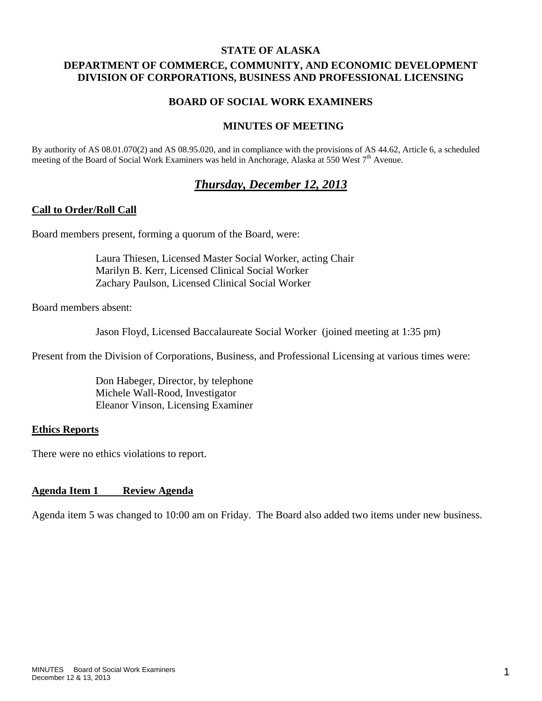#### **STATE OF ALASKA**

# **DEPARTMENT OF COMMERCE, COMMUNITY, AND ECONOMIC DEVELOPMENT DIVISION OF CORPORATIONS, BUSINESS AND PROFESSIONAL LICENSING**

### **BOARD OF SOCIAL WORK EXAMINERS**

### **MINUTES OF MEETING**

By authority of AS 08.01.070(2) and AS 08.95.020, and in compliance with the provisions of AS 44.62, Article 6, a scheduled meeting of the Board of Social Work Examiners was held in Anchorage, Alaska at 550 West  $7<sup>th</sup>$  Avenue.

# *Thursday, December 12, 2013*

#### **Call to Order/Roll Call**

Board members present, forming a quorum of the Board, were:

 Laura Thiesen, Licensed Master Social Worker, acting Chair Marilyn B. Kerr, Licensed Clinical Social Worker Zachary Paulson, Licensed Clinical Social Worker

Board members absent:

Jason Floyd, Licensed Baccalaureate Social Worker (joined meeting at 1:35 pm)

Present from the Division of Corporations, Business, and Professional Licensing at various times were:

 Don Habeger, Director, by telephone Michele Wall-Rood, Investigator Eleanor Vinson, Licensing Examiner

#### **Ethics Reports**

There were no ethics violations to report.

#### **Agenda Item 1 Review Agenda**

Agenda item 5 was changed to 10:00 am on Friday. The Board also added two items under new business.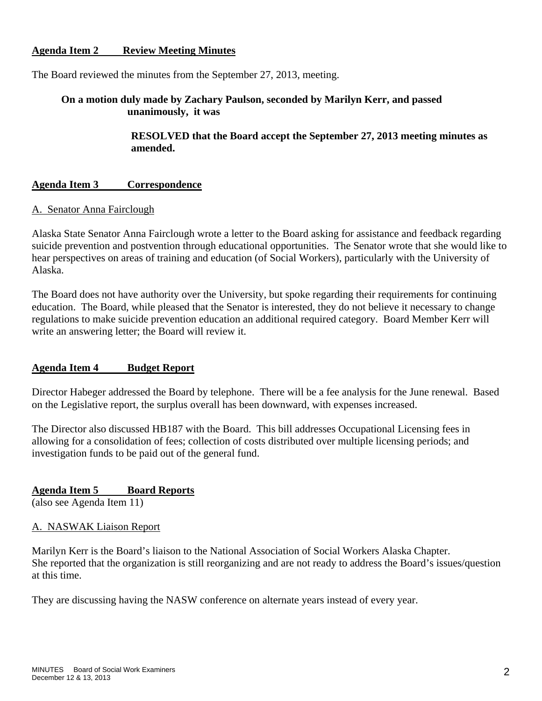# **Agenda Item 2 Review Meeting Minutes**

The Board reviewed the minutes from the September 27, 2013, meeting.

# **On a motion duly made by Zachary Paulson, seconded by Marilyn Kerr, and passed unanimously, it was**

 **RESOLVED that the Board accept the September 27, 2013 meeting minutes as amended.** 

#### **Agenda Item 3 Correspondence**

#### A. Senator Anna Fairclough

Alaska State Senator Anna Fairclough wrote a letter to the Board asking for assistance and feedback regarding suicide prevention and postvention through educational opportunities. The Senator wrote that she would like to hear perspectives on areas of training and education (of Social Workers), particularly with the University of Alaska.

The Board does not have authority over the University, but spoke regarding their requirements for continuing education. The Board, while pleased that the Senator is interested, they do not believe it necessary to change regulations to make suicide prevention education an additional required category. Board Member Kerr will write an answering letter; the Board will review it.

#### **Agenda Item 4 Budget Report**

Director Habeger addressed the Board by telephone. There will be a fee analysis for the June renewal. Based on the Legislative report, the surplus overall has been downward, with expenses increased.

The Director also discussed HB187 with the Board. This bill addresses Occupational Licensing fees in allowing for a consolidation of fees; collection of costs distributed over multiple licensing periods; and investigation funds to be paid out of the general fund.

**Agenda Item 5 Board Reports**  (also see Agenda Item 11)

#### A. NASWAK Liaison Report

Marilyn Kerr is the Board's liaison to the National Association of Social Workers Alaska Chapter. She reported that the organization is still reorganizing and are not ready to address the Board's issues/question at this time.

They are discussing having the NASW conference on alternate years instead of every year.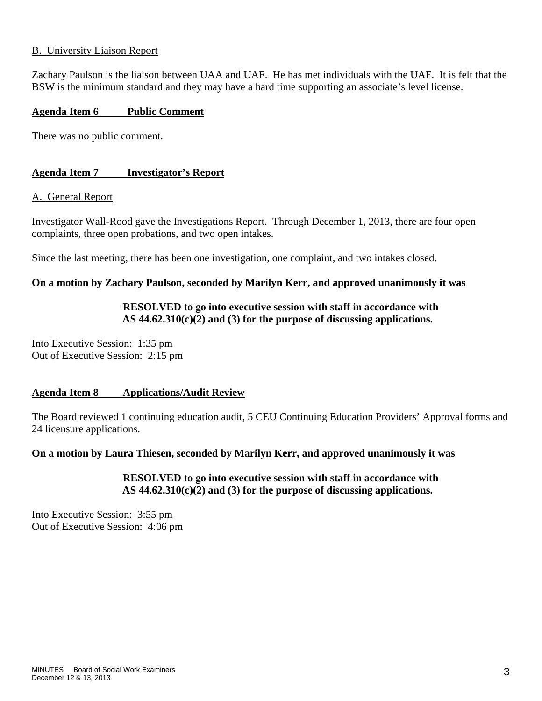### B. University Liaison Report

Zachary Paulson is the liaison between UAA and UAF. He has met individuals with the UAF. It is felt that the BSW is the minimum standard and they may have a hard time supporting an associate's level license.

#### **Agenda Item 6 Public Comment**

There was no public comment.

### **Agenda Item 7 Investigator's Report**

#### A. General Report

Investigator Wall-Rood gave the Investigations Report. Through December 1, 2013, there are four open complaints, three open probations, and two open intakes.

Since the last meeting, there has been one investigation, one complaint, and two intakes closed.

### **On a motion by Zachary Paulson, seconded by Marilyn Kerr, and approved unanimously it was**

### **RESOLVED to go into executive session with staff in accordance with AS 44.62.310(c)(2) and (3) for the purpose of discussing applications.**

Into Executive Session: 1:35 pm Out of Executive Session: 2:15 pm

### **Agenda Item 8 Applications/Audit Review**

The Board reviewed 1 continuing education audit, 5 CEU Continuing Education Providers' Approval forms and 24 licensure applications.

#### **On a motion by Laura Thiesen, seconded by Marilyn Kerr, and approved unanimously it was**

 **RESOLVED to go into executive session with staff in accordance with AS 44.62.310(c)(2) and (3) for the purpose of discussing applications.** 

Into Executive Session: 3:55 pm Out of Executive Session: 4:06 pm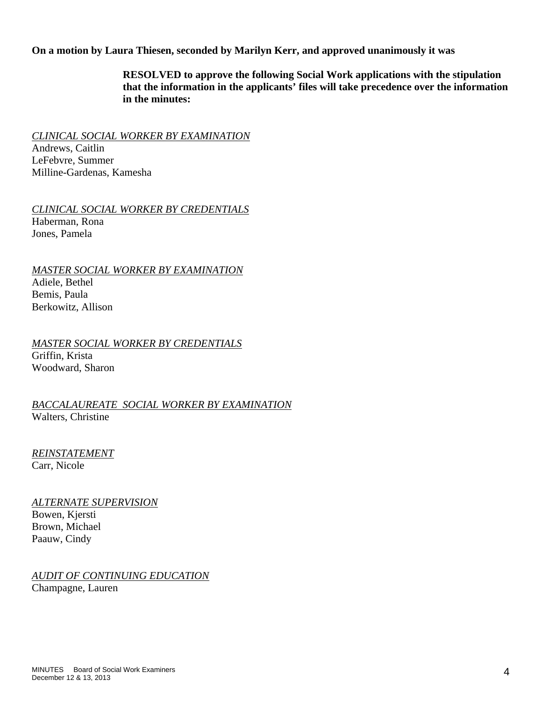**On a motion by Laura Thiesen, seconded by Marilyn Kerr, and approved unanimously it was** 

 **RESOLVED to approve the following Social Work applications with the stipulation that the information in the applicants' files will take precedence over the information in the minutes:** 

*CLINICAL SOCIAL WORKER BY EXAMINATION* 

Andrews, Caitlin LeFebvre, Summer Milline-Gardenas, Kamesha

*CLINICAL SOCIAL WORKER BY CREDENTIALS*  Haberman, Rona Jones, Pamela

*MASTER SOCIAL WORKER BY EXAMINATION* 

Adiele, Bethel Bemis, Paula Berkowitz, Allison

*MASTER SOCIAL WORKER BY CREDENTIALS*  Griffin, Krista Woodward, Sharon

*BACCALAUREATE SOCIAL WORKER BY EXAMINATION*  Walters, Christine

*REINSTATEMENT*  Carr, Nicole

*ALTERNATE SUPERVISION* Bowen, Kjersti Brown, Michael Paauw, Cindy

*AUDIT OF CONTINUING EDUCATION* Champagne, Lauren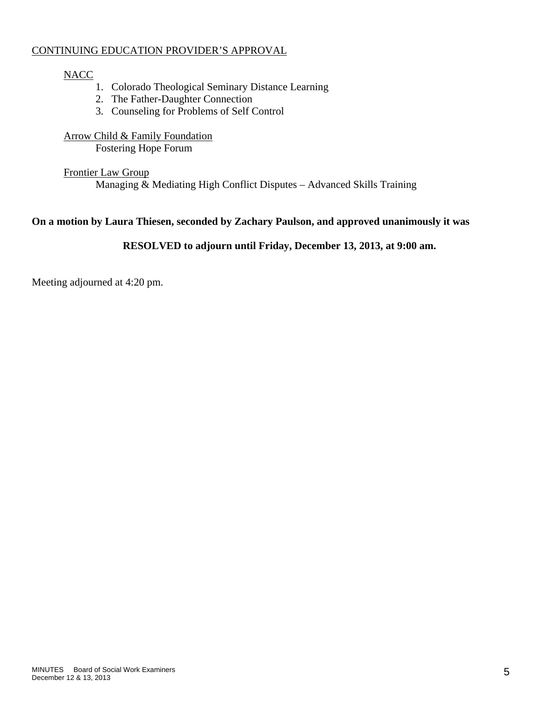# CONTINUING EDUCATION PROVIDER'S APPROVAL

# **NACC**

- 1. Colorado Theological Seminary Distance Learning
- 2. The Father-Daughter Connection
- 3. Counseling for Problems of Self Control

Arrow Child & Family Foundation Fostering Hope Forum

# Frontier Law Group

Managing & Mediating High Conflict Disputes – Advanced Skills Training

# **On a motion by Laura Thiesen, seconded by Zachary Paulson, and approved unanimously it was**

# **RESOLVED to adjourn until Friday, December 13, 2013, at 9:00 am.**

Meeting adjourned at 4:20 pm.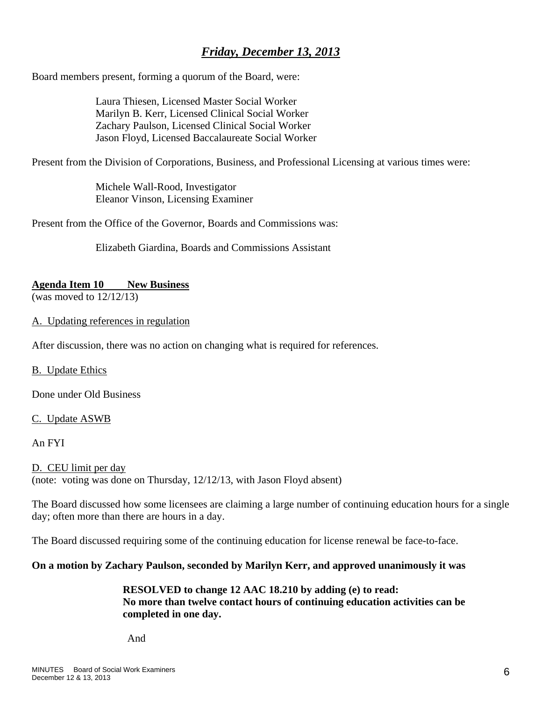# *Friday, December 13, 2013*

Board members present, forming a quorum of the Board, were:

 Laura Thiesen, Licensed Master Social Worker Marilyn B. Kerr, Licensed Clinical Social Worker Zachary Paulson, Licensed Clinical Social Worker Jason Floyd, Licensed Baccalaureate Social Worker

Present from the Division of Corporations, Business, and Professional Licensing at various times were:

 Michele Wall-Rood, Investigator Eleanor Vinson, Licensing Examiner

Present from the Office of the Governor, Boards and Commissions was:

Elizabeth Giardina, Boards and Commissions Assistant

#### **Agenda Item 10 New Business**

(was moved to 12/12/13)

### A. Updating references in regulation

After discussion, there was no action on changing what is required for references.

B. Update Ethics

Done under Old Business

#### C. Update ASWB

An FYI

D. CEU limit per day (note: voting was done on Thursday, 12/12/13, with Jason Floyd absent)

The Board discussed how some licensees are claiming a large number of continuing education hours for a single day; often more than there are hours in a day.

The Board discussed requiring some of the continuing education for license renewal be face-to-face.

### **On a motion by Zachary Paulson, seconded by Marilyn Kerr, and approved unanimously it was**

### **RESOLVED to change 12 AAC 18.210 by adding (e) to read: No more than twelve contact hours of continuing education activities can be completed in one day.**

And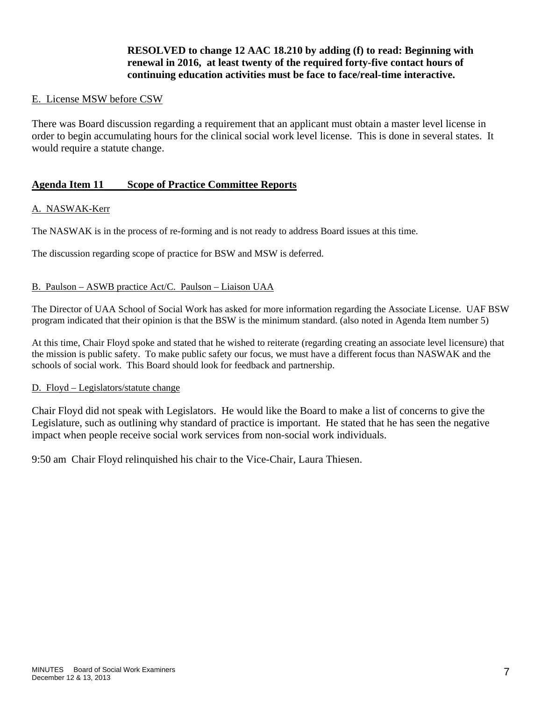# **RESOLVED to change 12 AAC 18.210 by adding (f) to read: Beginning with renewal in 2016, at least twenty of the required forty-five contact hours of continuing education activities must be face to face/real-time interactive.**

### E. License MSW before CSW

There was Board discussion regarding a requirement that an applicant must obtain a master level license in order to begin accumulating hours for the clinical social work level license. This is done in several states. It would require a statute change.

### **Agenda Item 11 Scope of Practice Committee Reports**

#### A. NASWAK-Kerr

The NASWAK is in the process of re-forming and is not ready to address Board issues at this time.

The discussion regarding scope of practice for BSW and MSW is deferred.

#### B. Paulson – ASWB practice Act/C. Paulson – Liaison UAA

The Director of UAA School of Social Work has asked for more information regarding the Associate License. UAF BSW program indicated that their opinion is that the BSW is the minimum standard. (also noted in Agenda Item number 5)

At this time, Chair Floyd spoke and stated that he wished to reiterate (regarding creating an associate level licensure) that the mission is public safety. To make public safety our focus, we must have a different focus than NASWAK and the schools of social work. This Board should look for feedback and partnership.

#### D. Floyd – Legislators/statute change

Chair Floyd did not speak with Legislators. He would like the Board to make a list of concerns to give the Legislature, such as outlining why standard of practice is important. He stated that he has seen the negative impact when people receive social work services from non-social work individuals.

9:50 am Chair Floyd relinquished his chair to the Vice-Chair, Laura Thiesen.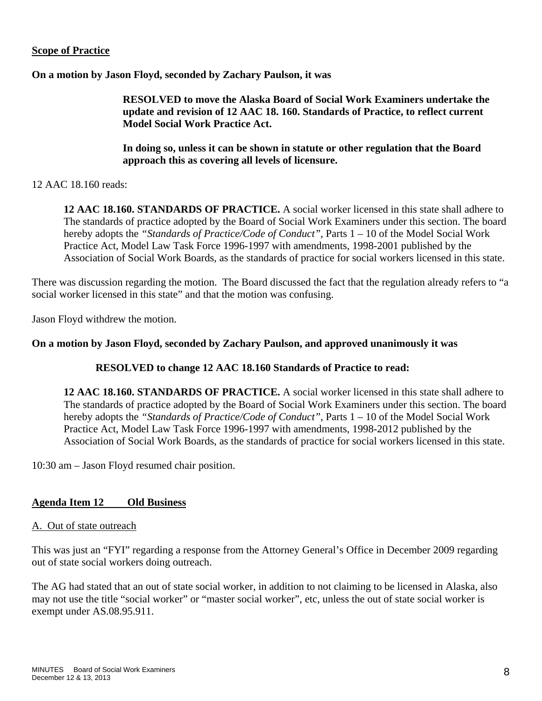# **Scope of Practice**

**On a motion by Jason Floyd, seconded by Zachary Paulson, it was** 

 **RESOLVED to move the Alaska Board of Social Work Examiners undertake the update and revision of 12 AAC 18. 160. Standards of Practice, to reflect current Model Social Work Practice Act.** 

 **In doing so, unless it can be shown in statute or other regulation that the Board approach this as covering all levels of licensure.** 

12 AAC 18.160 reads:

**12 AAC 18.160. STANDARDS OF PRACTICE.** A social worker licensed in this state shall adhere to The standards of practice adopted by the Board of Social Work Examiners under this section. The board hereby adopts the "Standards of Practice/Code of Conduct", Parts 1 – 10 of the Model Social Work Practice Act, Model Law Task Force 1996-1997 with amendments, 1998-2001 published by the Association of Social Work Boards, as the standards of practice for social workers licensed in this state.

There was discussion regarding the motion. The Board discussed the fact that the regulation already refers to "a social worker licensed in this state" and that the motion was confusing.

Jason Floyd withdrew the motion.

### **On a motion by Jason Floyd, seconded by Zachary Paulson, and approved unanimously it was**

### **RESOLVED to change 12 AAC 18.160 Standards of Practice to read:**

**12 AAC 18.160. STANDARDS OF PRACTICE.** A social worker licensed in this state shall adhere to The standards of practice adopted by the Board of Social Work Examiners under this section. The board hereby adopts the *"Standards of Practice/Code of Conduct"*, Parts 1 – 10 of the Model Social Work Practice Act, Model Law Task Force 1996-1997 with amendments, 1998-2012 published by the Association of Social Work Boards, as the standards of practice for social workers licensed in this state.

10:30 am – Jason Floyd resumed chair position.

### **Agenda Item 12 Old Business**

### A. Out of state outreach

This was just an "FYI" regarding a response from the Attorney General's Office in December 2009 regarding out of state social workers doing outreach.

The AG had stated that an out of state social worker, in addition to not claiming to be licensed in Alaska, also may not use the title "social worker" or "master social worker", etc, unless the out of state social worker is exempt under AS.08.95.911.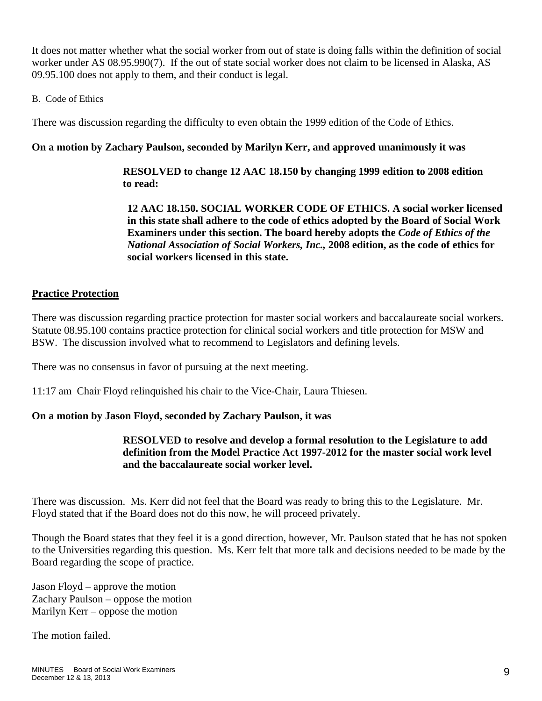It does not matter whether what the social worker from out of state is doing falls within the definition of social worker under AS 08.95.990(7). If the out of state social worker does not claim to be licensed in Alaska, AS 09.95.100 does not apply to them, and their conduct is legal.

### B. Code of Ethics

There was discussion regarding the difficulty to even obtain the 1999 edition of the Code of Ethics.

# **On a motion by Zachary Paulson, seconded by Marilyn Kerr, and approved unanimously it was**

 **RESOLVED to change 12 AAC 18.150 by changing 1999 edition to 2008 edition to read:** 

 **12 AAC 18.150. SOCIAL WORKER CODE OF ETHICS. A social worker licensed in this state shall adhere to the code of ethics adopted by the Board of Social Work Examiners under this section. The board hereby adopts the** *Code of Ethics of the National Association of Social Workers, Inc.,* **2008 edition, as the code of ethics for social workers licensed in this state.** 

# **Practice Protection**

There was discussion regarding practice protection for master social workers and baccalaureate social workers. Statute 08.95.100 contains practice protection for clinical social workers and title protection for MSW and BSW. The discussion involved what to recommend to Legislators and defining levels.

There was no consensus in favor of pursuing at the next meeting.

11:17 am Chair Floyd relinquished his chair to the Vice-Chair, Laura Thiesen.

# **On a motion by Jason Floyd, seconded by Zachary Paulson, it was**

# **RESOLVED to resolve and develop a formal resolution to the Legislature to add definition from the Model Practice Act 1997-2012 for the master social work level and the baccalaureate social worker level.**

There was discussion. Ms. Kerr did not feel that the Board was ready to bring this to the Legislature. Mr. Floyd stated that if the Board does not do this now, he will proceed privately.

Though the Board states that they feel it is a good direction, however, Mr. Paulson stated that he has not spoken to the Universities regarding this question. Ms. Kerr felt that more talk and decisions needed to be made by the Board regarding the scope of practice.

Jason Floyd – approve the motion Zachary Paulson – oppose the motion Marilyn Kerr – oppose the motion

The motion failed.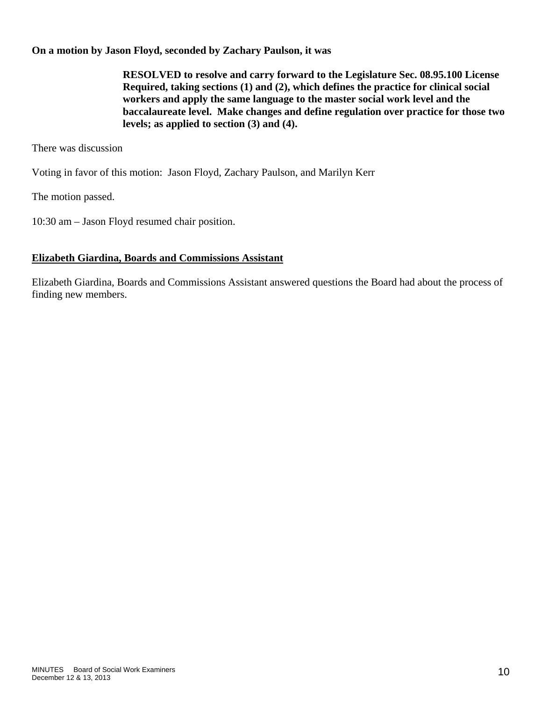# **On a motion by Jason Floyd, seconded by Zachary Paulson, it was**

 **RESOLVED to resolve and carry forward to the Legislature Sec. 08.95.100 License Required, taking sections (1) and (2), which defines the practice for clinical social workers and apply the same language to the master social work level and the baccalaureate level. Make changes and define regulation over practice for those two levels; as applied to section (3) and (4).** 

There was discussion

Voting in favor of this motion: Jason Floyd, Zachary Paulson, and Marilyn Kerr

The motion passed.

10:30 am – Jason Floyd resumed chair position.

# **Elizabeth Giardina, Boards and Commissions Assistant**

Elizabeth Giardina, Boards and Commissions Assistant answered questions the Board had about the process of finding new members.